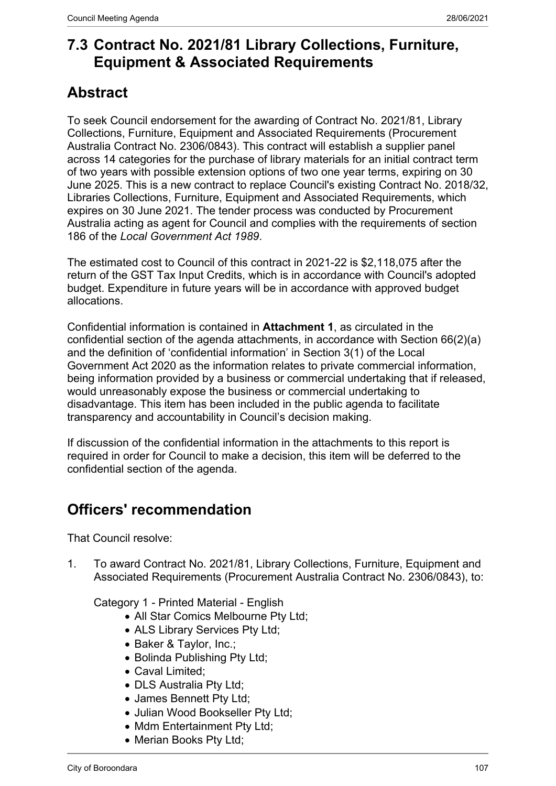## **7.3 Contract No. 2021/81 Library Collections, Furniture, Equipment & Associated Requirements**

# **Abstract**

To seek Council endorsement for the awarding of Contract No. 2021/81, Library Collections, Furniture, Equipment and Associated Requirements (Procurement Australia Contract No. 2306/0843). This contract will establish a supplier panel across 14 categories for the purchase of library materials for an initial contract term of two years with possible extension options of two one year terms, expiring on 30 June 2025. This is a new contract to replace Council's existing Contract No. 2018/32, Libraries Collections, Furniture, Equipment and Associated Requirements, which expires on 30 June 2021. The tender process was conducted by Procurement Australia acting as agent for Council and complies with the requirements of section 186 of the *Local Government Act 1989*.

The estimated cost to Council of this contract in 2021-22 is \$2,118,075 after the return of the GST Tax Input Credits, which is in accordance with Council's adopted budget. Expenditure in future years will be in accordance with approved budget allocations.

Confidential information is contained in **Attachment 1**, as circulated in the confidential section of the agenda attachments, in accordance with Section 66(2)(a) and the definition of 'confidential information' in Section 3(1) of the Local Government Act 2020 as the information relates to private commercial information, being information provided by a business or commercial undertaking that if released, would unreasonably expose the business or commercial undertaking to disadvantage. This item has been included in the public agenda to facilitate transparency and accountability in Council's decision making.

If discussion of the confidential information in the attachments to this report is required in order for Council to make a decision, this item will be deferred to the confidential section of the agenda.

# **Officers' recommendation**

That Council resolve:

1. To award Contract No. 2021/81, Library Collections, Furniture, Equipment and Associated Requirements (Procurement Australia Contract No. 2306/0843), to:

Category 1 - Printed Material - English

- All Star Comics Melbourne Pty Ltd;
- ALS Library Services Pty Ltd;
- Baker & Taylor, Inc.;
- Bolinda Publishing Pty Ltd;
- Caval Limited;
- DLS Australia Ptv Ltd:
- James Bennett Pty Ltd;
- Julian Wood Bookseller Pty Ltd;
- Mdm Entertainment Pty Ltd;
- Merian Books Pty Ltd;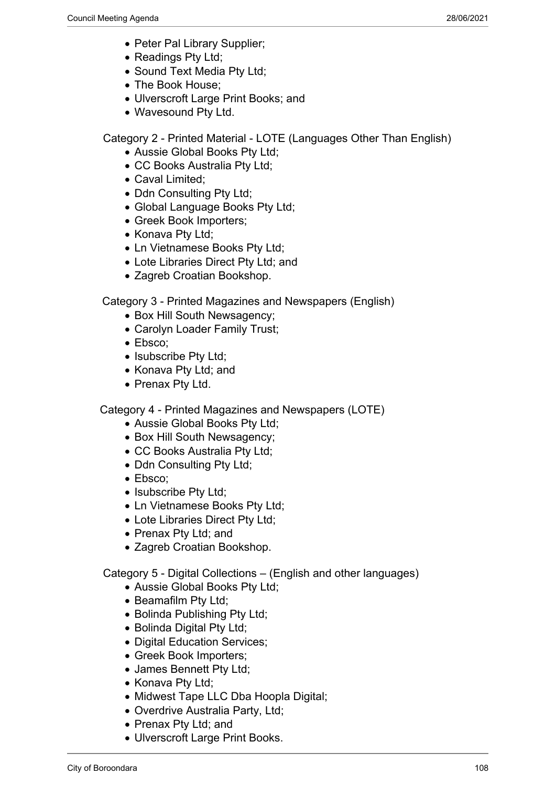- Peter Pal Library Supplier;
- Readings Pty Ltd;
- Sound Text Media Pty Ltd;
- The Book House;
- Ulverscroft Large Print Books; and
- Wavesound Pty Ltd.

Category 2 - Printed Material - LOTE (Languages Other Than English)

- Aussie Global Books Pty Ltd;
- CC Books Australia Pty Ltd;
- Caval Limited;
- Ddn Consulting Pty Ltd;
- Global Language Books Pty Ltd;
- Greek Book Importers;
- Konava Pty Ltd;
- Ln Vietnamese Books Pty Ltd;
- Lote Libraries Direct Pty Ltd; and
- Zagreb Croatian Bookshop.

Category 3 - Printed Magazines and Newspapers (English)

- Box Hill South Newsagency;
- Carolyn Loader Family Trust;
- Ebsco:
- Isubscribe Pty Ltd;
- Konava Pty Ltd; and
- Prenax Pty Ltd.

Category 4 - Printed Magazines and Newspapers (LOTE)

- Aussie Global Books Pty Ltd;
- Box Hill South Newsagency;
- CC Books Australia Pty Ltd;
- Ddn Consulting Pty Ltd;
- Ebsco;
- Isubscribe Pty Ltd;
- Ln Vietnamese Books Pty Ltd;
- Lote Libraries Direct Pty Ltd;
- Prenax Pty Ltd; and
- Zagreb Croatian Bookshop.

Category 5 - Digital Collections – (English and other languages)

- Aussie Global Books Pty Ltd;
- Beamafilm Pty Ltd;
- Bolinda Publishing Pty Ltd;
- Bolinda Digital Pty Ltd;
- Digital Education Services:
- Greek Book Importers;
- James Bennett Pty Ltd;
- Konava Pty Ltd:
- Midwest Tape LLC Dba Hoopla Digital;
- Overdrive Australia Party, Ltd;
- Prenax Pty Ltd; and
- Ulverscroft Large Print Books.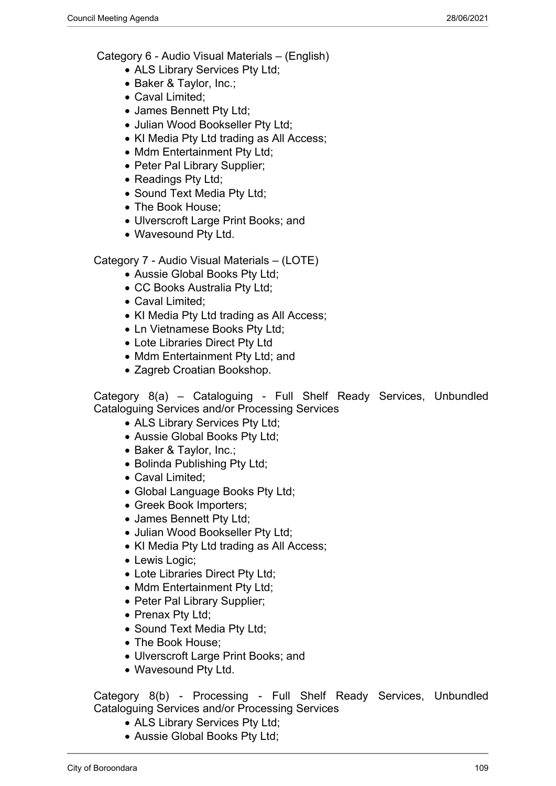Category 6 - Audio Visual Materials – (English)

- ALS Library Services Pty Ltd;
- Baker & Taylor, Inc.;
- Caval Limited;
- James Bennett Pty Ltd;
- Julian Wood Bookseller Pty Ltd;
- KI Media Pty Ltd trading as All Access;
- Mdm Entertainment Pty Ltd;
- Peter Pal Library Supplier;
- Readings Pty Ltd;
- Sound Text Media Pty Ltd;
- The Book House:
- Ulverscroft Large Print Books; and
- Wavesound Pty Ltd.

Category 7 - Audio Visual Materials – (LOTE)

- Aussie Global Books Pty Ltd;
- CC Books Australia Pty Ltd;
- Caval Limited:
- KI Media Pty Ltd trading as All Access;
- Ln Vietnamese Books Pty Ltd;
- Lote Libraries Direct Pty Ltd
- Mdm Entertainment Pty Ltd; and
- Zagreb Croatian Bookshop.

Category 8(a) – Cataloguing - Full Shelf Ready Services, Unbundled Cataloguing Services and/or Processing Services

- ALS Library Services Pty Ltd;
- Aussie Global Books Pty Ltd;
- Baker & Taylor, Inc.;
- Bolinda Publishing Pty Ltd;
- Caval Limited:
- Global Language Books Pty Ltd;
- Greek Book Importers;
- James Bennett Pty Ltd;
- Julian Wood Bookseller Pty Ltd;
- KI Media Pty Ltd trading as All Access;
- Lewis Logic:
- Lote Libraries Direct Pty Ltd;
- Mdm Entertainment Pty Ltd;
- Peter Pal Library Supplier;
- Prenax Pty Ltd;
- Sound Text Media Pty Ltd;
- The Book House:
- Ulverscroft Large Print Books; and
- Wavesound Pty Ltd.

Category 8(b) - Processing - Full Shelf Ready Services, Unbundled Cataloguing Services and/or Processing Services

- ALS Library Services Pty Ltd;
- Aussie Global Books Pty Ltd: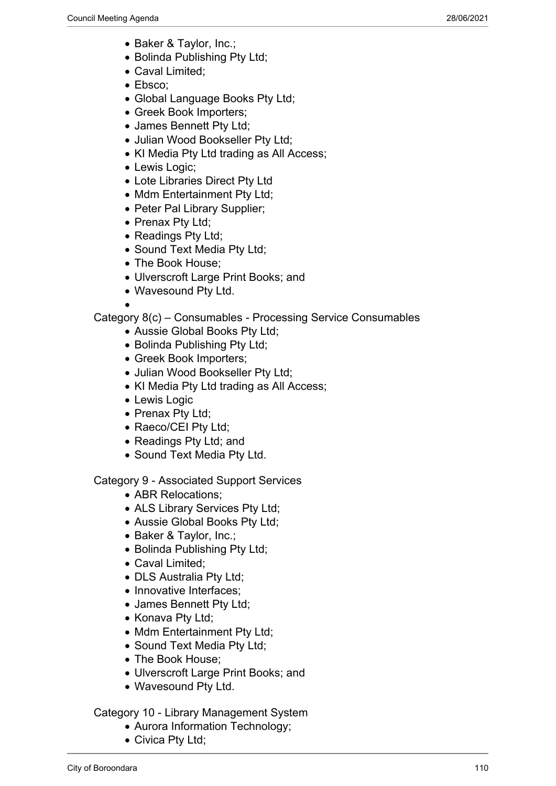- Baker & Taylor, Inc.;
- Bolinda Publishing Pty Ltd:
- Caval Limited;
- Ebsco;
- Global Language Books Pty Ltd:
- Greek Book Importers;
- James Bennett Pty Ltd;
- Julian Wood Bookseller Pty Ltd;
- KI Media Pty Ltd trading as All Access;
- Lewis Logic;
- Lote Libraries Direct Pty Ltd
- Mdm Entertainment Pty Ltd;
- Peter Pal Library Supplier;
- Prenax Pty Ltd;
- Readings Pty Ltd;
- Sound Text Media Pty Ltd;
- The Book House:
- Ulverscroft Large Print Books; and
- Wavesound Pty Ltd.

 $\bullet$ 

Category 8(c) – Consumables - Processing Service Consumables

- Aussie Global Books Pty Ltd;
- Bolinda Publishing Pty Ltd:
- Greek Book Importers;
- Julian Wood Bookseller Pty Ltd;
- KI Media Pty Ltd trading as All Access;
- Lewis Logic
- Prenax Pty Ltd;
- Raeco/CEI Pty Ltd;
- Readings Pty Ltd; and
- Sound Text Media Pty Ltd.

Category 9 - Associated Support Services

- ABR Relocations;
- ALS Library Services Pty Ltd;
- Aussie Global Books Pty Ltd;
- Baker & Taylor, Inc.;
- Bolinda Publishing Pty Ltd;
- Caval Limited;
- DLS Australia Pty Ltd;
- Innovative Interfaces:
- James Bennett Pty Ltd;
- Konava Pty Ltd:
- Mdm Entertainment Pty Ltd;
- Sound Text Media Pty Ltd;
- The Book House:
- Ulverscroft Large Print Books; and
- Wavesound Pty Ltd.

Category 10 - Library Management System

- Aurora Information Technology;
- Civica Pty Ltd;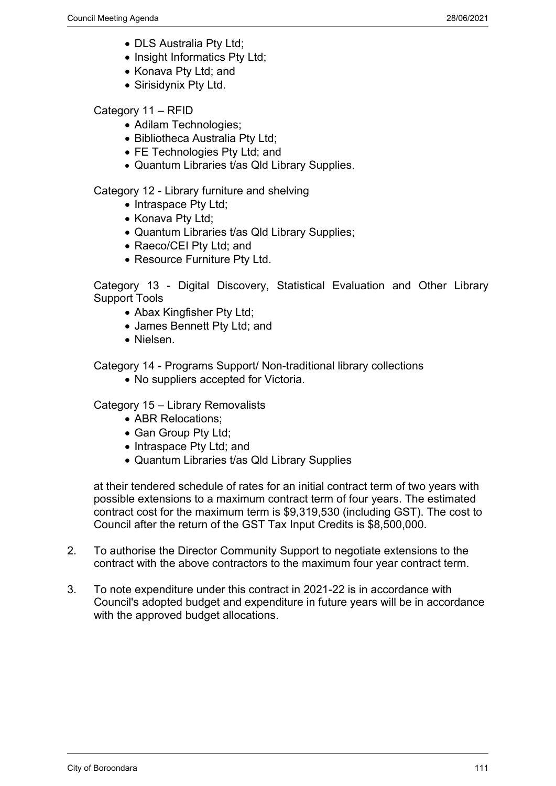- DLS Australia Pty Ltd;
- Insight Informatics Pty Ltd;
- Konava Pty Ltd; and
- Sirisidynix Pty Ltd.

#### Category 11 – RFID

- Adilam Technologies;
- Bibliotheca Australia Pty Ltd;
- FE Technologies Pty Ltd: and
- Quantum Libraries t/as Qld Library Supplies.

Category 12 - Library furniture and shelving

- Intraspace Pty Ltd;
- Konava Pty Ltd;
- Quantum Libraries t/as Qld Library Supplies;
- Raeco/CEI Pty Ltd; and
- Resource Furniture Pty Ltd.

Category 13 - Digital Discovery, Statistical Evaluation and Other Library Support Tools

- Abax Kingfisher Pty Ltd;
- James Bennett Pty Ltd; and
- Nielsen.

Category 14 - Programs Support/ Non-traditional library collections

• No suppliers accepted for Victoria.

Category 15 – Library Removalists

- ABR Relocations:
- Gan Group Pty Ltd;
- Intraspace Pty Ltd: and
- Quantum Libraries t/as Qld Library Supplies

at their tendered schedule of rates for an initial contract term of two years with possible extensions to a maximum contract term of four years. The estimated contract cost for the maximum term is \$9,319,530 (including GST). The cost to Council after the return of the GST Tax Input Credits is \$8,500,000.

- 2. To authorise the Director Community Support to negotiate extensions to the contract with the above contractors to the maximum four year contract term.
- 3. To note expenditure under this contract in 2021-22 is in accordance with Council's adopted budget and expenditure in future years will be in accordance with the approved budget allocations.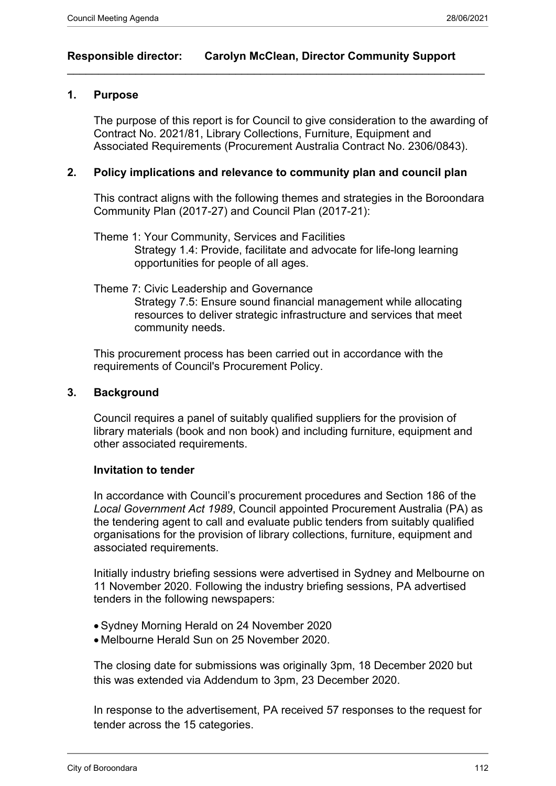## **Responsible director: Carolyn McClean, Director Community Support**

 $\_$  , and the set of the set of the set of the set of the set of the set of the set of the set of the set of the set of the set of the set of the set of the set of the set of the set of the set of the set of the set of th

#### **1. Purpose**

The purpose of this report is for Council to give consideration to the awarding of Contract No. 2021/81, Library Collections, Furniture, Equipment and Associated Requirements (Procurement Australia Contract No. 2306/0843).

## **2. Policy implications and relevance to community plan and council plan**

This contract aligns with the following themes and strategies in the Boroondara Community Plan (2017-27) and Council Plan (2017-21):

- Theme 1: Your Community, Services and Facilities Strategy 1.4: Provide, facilitate and advocate for life-long learning opportunities for people of all ages.
- Theme 7: Civic Leadership and Governance

Strategy 7.5: Ensure sound financial management while allocating resources to deliver strategic infrastructure and services that meet community needs.

This procurement process has been carried out in accordance with the requirements of Council's Procurement Policy.

#### **3. Background**

Council requires a panel of suitably qualified suppliers for the provision of library materials (book and non book) and including furniture, equipment and other associated requirements.

## **Invitation to tender**

In accordance with Council's procurement procedures and Section 186 of the *Local Government Act 1989*, Council appointed Procurement Australia (PA) as the tendering agent to call and evaluate public tenders from suitably qualified organisations for the provision of library collections, furniture, equipment and associated requirements.

Initially industry briefing sessions were advertised in Sydney and Melbourne on 11 November 2020. Following the industry briefing sessions, PA advertised tenders in the following newspapers:

- Sydney Morning Herald on 24 November 2020
- Melbourne Herald Sun on 25 November 2020.

The closing date for submissions was originally 3pm, 18 December 2020 but this was extended via Addendum to 3pm, 23 December 2020.

In response to the advertisement, PA received 57 responses to the request for tender across the 15 categories.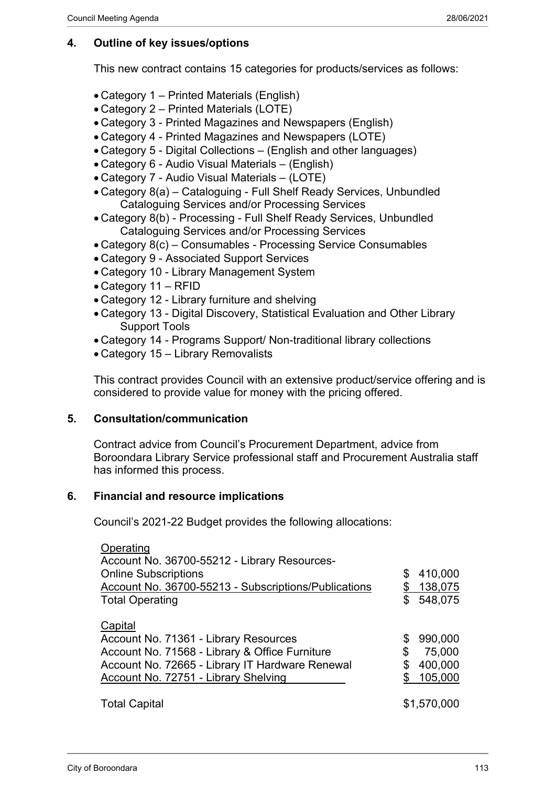## **4. Outline of key issues/options**

This new contract contains 15 categories for products/services as follows:

- Category 1 Printed Materials (English)
- Category 2 Printed Materials (LOTE)
- Category 3 Printed Magazines and Newspapers (English)
- Category 4 Printed Magazines and Newspapers (LOTE)
- Category 5 Digital Collections (English and other languages)
- Category 6 Audio Visual Materials (English)
- Category 7 Audio Visual Materials (LOTE)
- Category 8(a) Cataloguing Full Shelf Ready Services, Unbundled Cataloguing Services and/or Processing Services
- Category 8(b) Processing Full Shelf Ready Services, Unbundled Cataloguing Services and/or Processing Services
- Category 8(c) Consumables Processing Service Consumables
- Category 9 Associated Support Services
- Category 10 Library Management System
- Category 11 RFID
- Category 12 Library furniture and shelving
- Category 13 Digital Discovery, Statistical Evaluation and Other Library Support Tools
- Category 14 Programs Support/ Non-traditional library collections
- Category 15 Library Removalists

This contract provides Council with an extensive product/service offering and is considered to provide value for money with the pricing offered.

## **5. Consultation/communication**

Contract advice from Council's Procurement Department, advice from Boroondara Library Service professional staff and Procurement Australia staff has informed this process.

## **6. Financial and resource implications**

Council's 2021-22 Budget provides the following allocations:

| Operating<br>Account No. 36700-55212 - Library Resources-<br><b>Online Subscriptions</b><br>Account No. 36700-55213 - Subscriptions/Publications<br><b>Total Operating</b>                           | \$<br>\$       | 410,000<br>138,075<br>548,075           |
|------------------------------------------------------------------------------------------------------------------------------------------------------------------------------------------------------|----------------|-----------------------------------------|
| Capital<br>Account No. 71361 - Library Resources<br>Account No. 71568 - Library & Office Furniture<br>Account No. 72665 - Library IT Hardware Renewal<br><b>Account No. 72751 - Library Shelving</b> | \$<br>\$<br>\$ | 990,000<br>75,000<br>400,000<br>105,000 |
| <b>Total Capital</b>                                                                                                                                                                                 |                | \$1,570,000                             |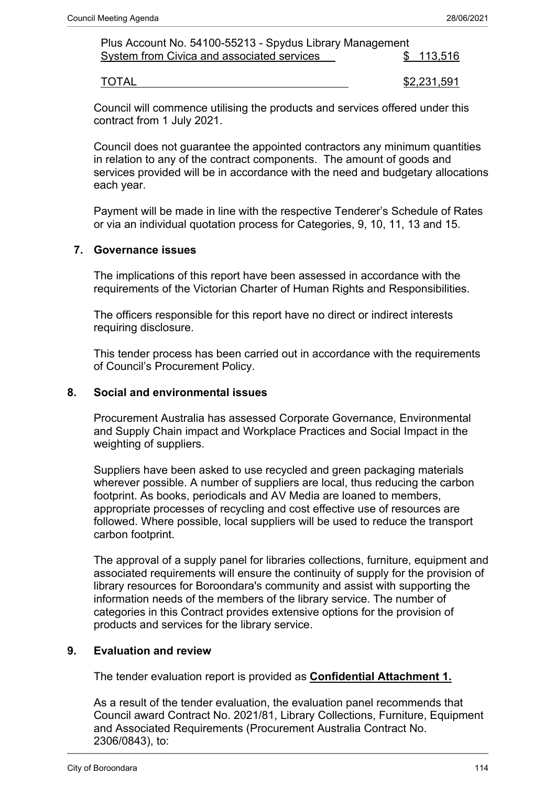| Plus Account No. 54100-55213 - Spydus Library Management |           |
|----------------------------------------------------------|-----------|
| System from Civica and associated services               | \$113,516 |
|                                                          |           |

TOTAL \$2,231,591

Council will commence utilising the products and services offered under this contract from 1 July 2021.

Council does not guarantee the appointed contractors any minimum quantities in relation to any of the contract components. The amount of goods and services provided will be in accordance with the need and budgetary allocations each year.

Payment will be made in line with the respective Tenderer's Schedule of Rates or via an individual quotation process for Categories, 9, 10, 11, 13 and 15.

## **7. Governance issues**

The implications of this report have been assessed in accordance with the requirements of the Victorian Charter of Human Rights and Responsibilities.

The officers responsible for this report have no direct or indirect interests requiring disclosure.

This tender process has been carried out in accordance with the requirements of Council's Procurement Policy.

#### **8. Social and environmental issues**

Procurement Australia has assessed Corporate Governance, Environmental and Supply Chain impact and Workplace Practices and Social Impact in the weighting of suppliers.

Suppliers have been asked to use recycled and green packaging materials wherever possible. A number of suppliers are local, thus reducing the carbon footprint. As books, periodicals and AV Media are loaned to members, appropriate processes of recycling and cost effective use of resources are followed. Where possible, local suppliers will be used to reduce the transport carbon footprint.

The approval of a supply panel for libraries collections, furniture, equipment and associated requirements will ensure the continuity of supply for the provision of library resources for Boroondara's community and assist with supporting the information needs of the members of the library service. The number of categories in this Contract provides extensive options for the provision of products and services for the library service.

#### **9. Evaluation and review**

The tender evaluation report is provided as **Confidential Attachment 1.**

As a result of the tender evaluation, the evaluation panel recommends that Council award Contract No. 2021/81, Library Collections, Furniture, Equipment and Associated Requirements (Procurement Australia Contract No. 2306/0843), to: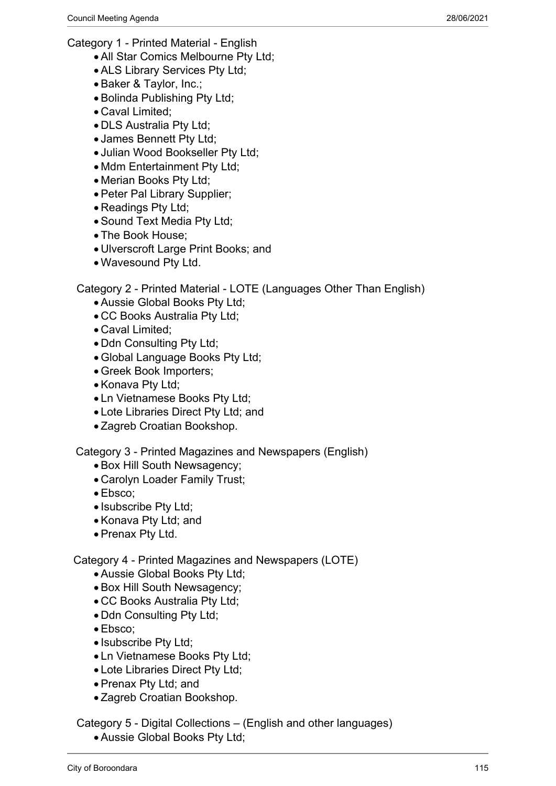Category 1 - Printed Material - English

- All Star Comics Melbourne Pty Ltd;
- ALS Library Services Pty Ltd;
- Baker & Taylor, Inc.;
- Bolinda Publishing Pty Ltd:
- Caval Limited;
- DLS Australia Pty Ltd;
- James Bennett Pty Ltd;
- Julian Wood Bookseller Pty Ltd;
- Mdm Entertainment Pty Ltd;
- Merian Books Pty Ltd;
- Peter Pal Library Supplier;
- Readings Pty Ltd;
- Sound Text Media Pty Ltd;
- The Book House;
- Ulverscroft Large Print Books; and
- Wavesound Pty Ltd.

Category 2 - Printed Material - LOTE (Languages Other Than English)

- Aussie Global Books Pty Ltd;
- CC Books Australia Pty Ltd;
- Caval Limited;
- Ddn Consulting Pty Ltd;
- Global Language Books Pty Ltd;
- Greek Book Importers;
- Konava Pty Ltd;
- Ln Vietnamese Books Pty Ltd;
- Lote Libraries Direct Pty Ltd; and
- Zagreb Croatian Bookshop.

Category 3 - Printed Magazines and Newspapers (English)

- Box Hill South Newsagency;
- Carolyn Loader Family Trust;
- Ebsco;
- Isubscribe Pty Ltd;
- Konava Pty Ltd; and
- Prenax Pty Ltd.

Category 4 - Printed Magazines and Newspapers (LOTE)

- Aussie Global Books Pty Ltd;
- Box Hill South Newsagency;
- CC Books Australia Pty Ltd;
- Ddn Consulting Pty Ltd;
- Ebsco;
- Isubscribe Pty Ltd;
- Ln Vietnamese Books Pty Ltd;
- Lote Libraries Direct Pty Ltd;
- Prenax Pty Ltd; and
- Zagreb Croatian Bookshop.

Category 5 - Digital Collections – (English and other languages)

Aussie Global Books Pty Ltd;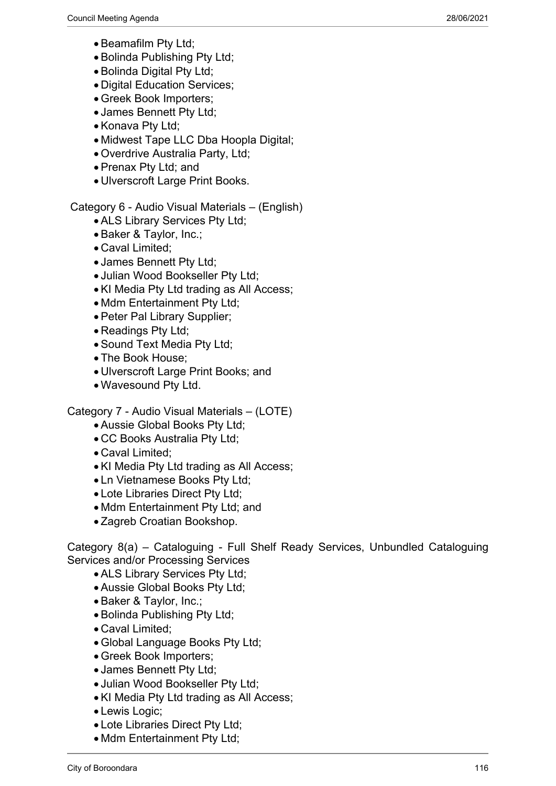- Beamafilm Pty Ltd;
- Bolinda Publishing Pty Ltd:
- Bolinda Digital Pty Ltd;
- Digital Education Services;
- Greek Book Importers;
- James Bennett Pty Ltd;
- Konava Pty Ltd;
- Midwest Tape LLC Dba Hoopla Digital;
- Overdrive Australia Party, Ltd;
- Prenax Pty Ltd; and
- Ulverscroft Large Print Books.

Category 6 - Audio Visual Materials – (English)

- ALS Library Services Pty Ltd;
- Baker & Taylor, Inc.;
- Caval Limited;
- James Bennett Pty Ltd;
- Julian Wood Bookseller Pty Ltd;
- KI Media Pty Ltd trading as All Access;
- Mdm Entertainment Pty Ltd:
- Peter Pal Library Supplier;
- Readings Pty Ltd;
- Sound Text Media Pty Ltd:
- The Book House;
- Ulverscroft Large Print Books; and
- Wavesound Pty Ltd.

## Category 7 - Audio Visual Materials – (LOTE)

- Aussie Global Books Pty Ltd;
- CC Books Australia Pty Ltd;
- Caval Limited;
- KI Media Pty Ltd trading as All Access;
- Ln Vietnamese Books Pty Ltd;
- Lote Libraries Direct Pty Ltd;
- Mdm Entertainment Pty Ltd: and
- Zagreb Croatian Bookshop.

Category 8(a) – Cataloguing - Full Shelf Ready Services, Unbundled Cataloguing Services and/or Processing Services

- ALS Library Services Pty Ltd;
- Aussie Global Books Pty Ltd;
- Baker & Taylor, Inc.;
- Bolinda Publishing Pty Ltd;
- Caval Limited;
- Global Language Books Pty Ltd;
- Greek Book Importers;
- James Bennett Pty Ltd;
- Julian Wood Bookseller Pty Ltd:
- KI Media Pty Ltd trading as All Access;
- Lewis Logic;
- Lote Libraries Direct Pty Ltd;
- Mdm Entertainment Pty Ltd;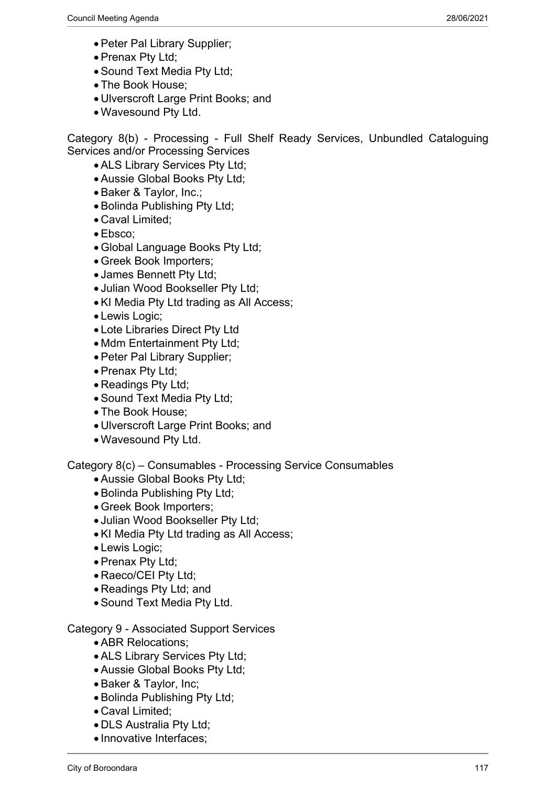- Peter Pal Library Supplier;
- Prenax Pty Ltd:
- Sound Text Media Pty Ltd;
- The Book House;
- Ulverscroft Large Print Books; and
- Wavesound Pty Ltd.

Category 8(b) - Processing - Full Shelf Ready Services, Unbundled Cataloguing Services and/or Processing Services

- ALS Library Services Pty Ltd;
- Aussie Global Books Pty Ltd;
- Baker & Taylor, Inc.;
- Bolinda Publishing Pty Ltd;
- Caval Limited;
- Ebsco;
- Global Language Books Pty Ltd;
- Greek Book Importers;
- James Bennett Pty Ltd;
- Julian Wood Bookseller Pty Ltd;
- KI Media Pty Ltd trading as All Access;
- Lewis Logic;
- Lote Libraries Direct Pty Ltd
- Mdm Entertainment Pty Ltd;
- Peter Pal Library Supplier;
- Prenax Pty Ltd;
- Readings Pty Ltd;
- Sound Text Media Pty Ltd;
- The Book House;
- Ulverscroft Large Print Books; and
- Wavesound Pty Ltd.

Category 8(c) – Consumables - Processing Service Consumables

- Aussie Global Books Pty Ltd;
- Bolinda Publishing Pty Ltd;
- Greek Book Importers;
- Julian Wood Bookseller Pty Ltd;
- KI Media Pty Ltd trading as All Access;
- Lewis Logic;
- Prenax Pty Ltd;
- Raeco/CEI Pty Ltd;
- Readings Pty Ltd; and
- Sound Text Media Pty Ltd.

Category 9 - Associated Support Services

- ABR Relocations;
- ALS Library Services Pty Ltd;
- Aussie Global Books Pty Ltd;
- Baker & Taylor, Inc;
- Bolinda Publishing Pty Ltd;
- Caval Limited;
- DLS Australia Pty Ltd;
- Innovative Interfaces;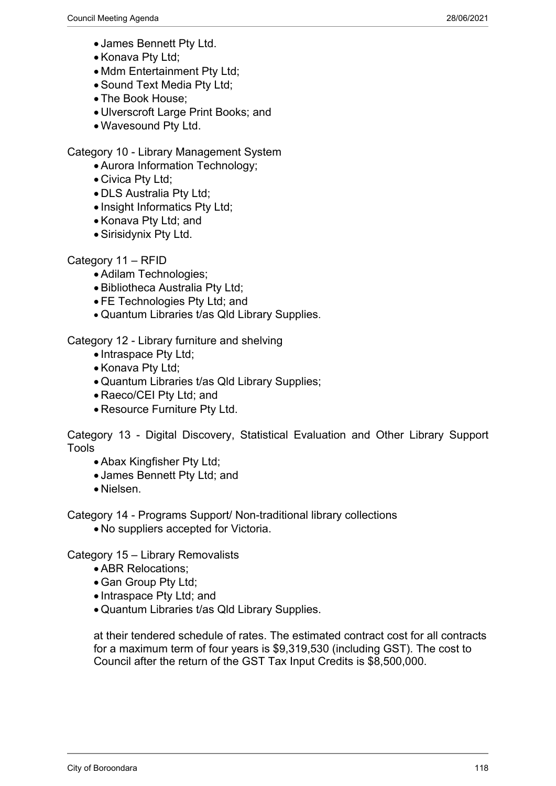- James Bennett Pty Ltd.
- Konava Ptv Ltd:
- Mdm Entertainment Pty Ltd;
- Sound Text Media Pty Ltd;
- The Book House:
- Ulverscroft Large Print Books; and
- Wavesound Pty Ltd.

## Category 10 - Library Management System

- Aurora Information Technology;
- Civica Pty Ltd;
- DLS Australia Pty Ltd;
- Insight Informatics Pty Ltd;
- Konava Pty Ltd: and
- Sirisidynix Pty Ltd.

## Category 11 – RFID

- Adilam Technologies;
- Bibliotheca Australia Pty Ltd;
- FE Technologies Pty Ltd; and
- Quantum Libraries t/as Qld Library Supplies.

Category 12 - Library furniture and shelving

- Intraspace Pty Ltd;
- Konava Pty Ltd;
- Quantum Libraries t/as Qld Library Supplies;
- Raeco/CEI Pty Ltd; and
- Resource Furniture Pty Ltd.

Category 13 - Digital Discovery, Statistical Evaluation and Other Library Support Tools

- Abax Kingfisher Pty Ltd;
- James Bennett Pty Ltd; and
- Nielsen.

Category 14 - Programs Support/ Non-traditional library collections

No suppliers accepted for Victoria.

Category 15 – Library Removalists

- ABR Relocations;
- Gan Group Pty Ltd;
- Intraspace Pty Ltd; and
- Quantum Libraries t/as Qld Library Supplies.

at their tendered schedule of rates. The estimated contract cost for all contracts for a maximum term of four years is \$9,319,530 (including GST). The cost to Council after the return of the GST Tax Input Credits is \$8,500,000.